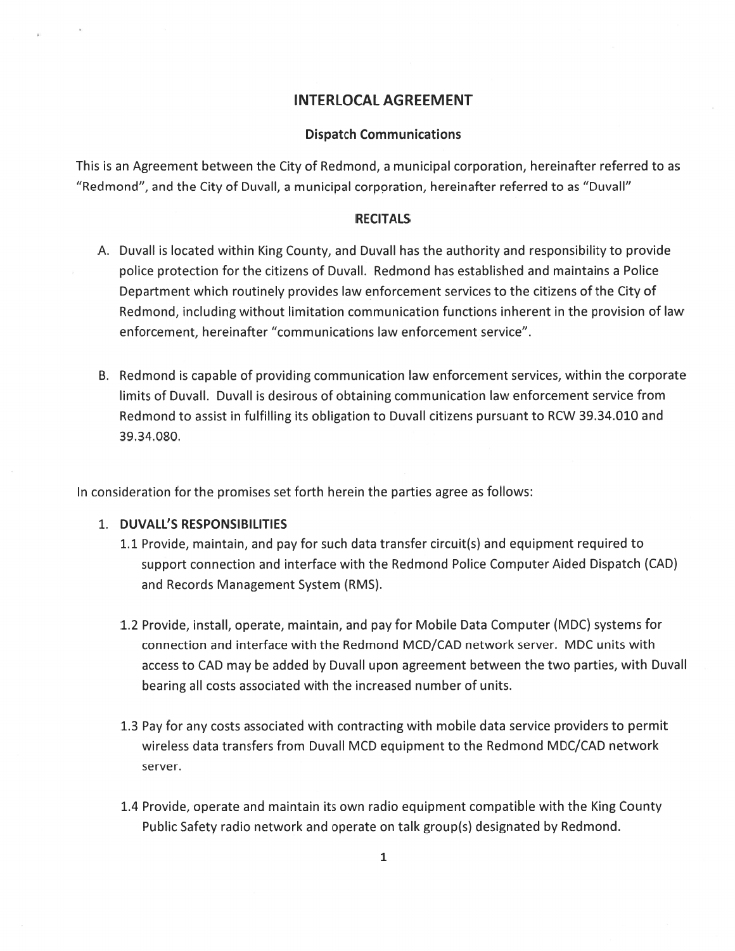# INTERLOCAL AGREEMENT

## Dispatch Communications

This is an Agreement between the City of Redmond, <sup>a</sup> municipal corporation, hereinafter referred to as "Redmond", and the City of Duvall, <sup>a</sup> municipal corporation, hereinafter referred to as "Duvall"

### RECITALS

- A. Duvall is located within King County, and Duvall has the authority and responsibility to provide police protection for the citizens of Duvall. Redmond has established and maintains <sup>a</sup> Police Department which routinely provides law enforcement services to the citizens of the City of Redmond, including without limitation communication functions inherent in the provision of law enforcement, hereinafter "communications law enforcement service".
- B. Redmond is capable of providing communication law enforcement services, within the corporate limits of Duvall. Duvall is desirous of obtaining communication law enforcement service from Redmond to assist in fulfilling its obligation to Duvall citizens pursuan<sup>t</sup> to RCW 39.34.010 and 39.34.080.

In consideration for the promises set forth herein the parties agree as follows:

## 1. DUVALL'S RESPONSIBILITIES

- 1.1 Provide, maintain, and pay for such data transfer circuit(s) and equipment required to suppor<sup>t</sup> connection and interface with the Redmond Police Computer Aided Dispatch (CAD) and Records Management System (RMS).
- 1.2 Provide, install, operate, maintain, and pay for Mobile Data Computer (MDC) systems for connection and interface with the Redmond MCD/CAD network server. MDC units with access to CAD may be added by Duvall upon agreemen<sup>t</sup> between the two parties, with Duvall bearing all costs associated with the increased number of units.
- 1.3 Pay for any costs associated with contracting with mobile data service providers to permit wireless data transfers from Duvall MCD equipment to the Redmond MDC/CAD network server.
- 1.4 Provide, operate and maintain its own radio equipment compatible with the King County Public Safety radio network and operate on talk group(s) designated by Redmond.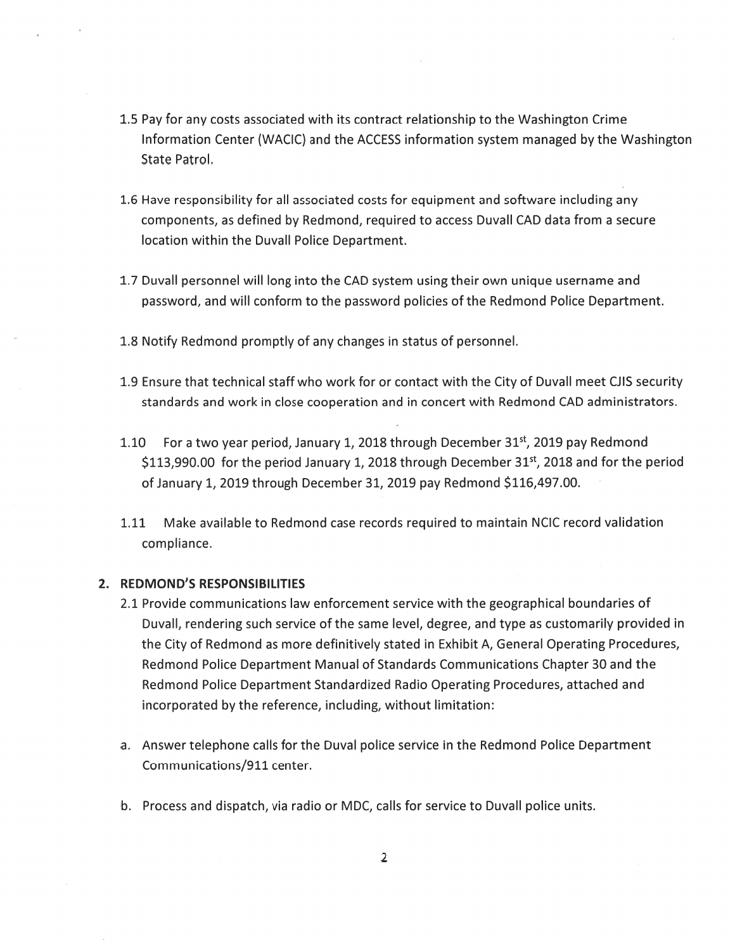- 1.5 Pay for any costs associated with its contract relationship to the Washington Crime Information Center (WACIC) and the ACCESS information system managed by the Washington State Patrol.
- 1.6 Have responsibility for all associated costs for equipment and software including any components, as defined by Redmond, required to access Duvall CAD data from <sup>a</sup> secure location within the Duvall Police Department.
- 1.7 Duvall personnel will long into the CAD system using their own unique username and password, and will conform to the password policies ofthe Redmond Police Department.
- 1.8 Notify Redmond promptly of any changes in status of personnel.
- 1.9 Ensure that technical staff who work for or contact with the City of Duvall meet CJIS security standards and work in close cooperation and in concert with Redmond CAD administrators.
- 1.10 For a two year period, January 1, 2018 through December 31<sup>st</sup>, 2019 pay Redmond \$113,990.00 for the period January 1, 2018 through December  $31<sup>st</sup>$ , 2018 and for the period of January 1, 2019 through December 31, 2019 pay Redmond \$116,497.00.
- 1.11 Make available to Redmond case records required to maintain NCIC record validation compliance.

## 2. REDMOND'S RESPONSIBILITIES

- 2.1 Provide communications law enforcement service with the geographical boundaries of Duvall, rendering such service ofthe same level, degree, and type as customarily provided in the City of Redmond as more definitively stated in Exhibit A, General Operating Procedures, Redmond Police Department Manual of Standards Communications Chapter 30 and the Redmond Police Department Standardized Radio Operating Procedures, attached and incorporated by the reference, including, without limitation:
- a. Answer telephone calls for the Duval police service in the Redmond Police Department Communications/911 center.
- b. Process and dispatch, via radio or MDC, calls for service to Duvall police units.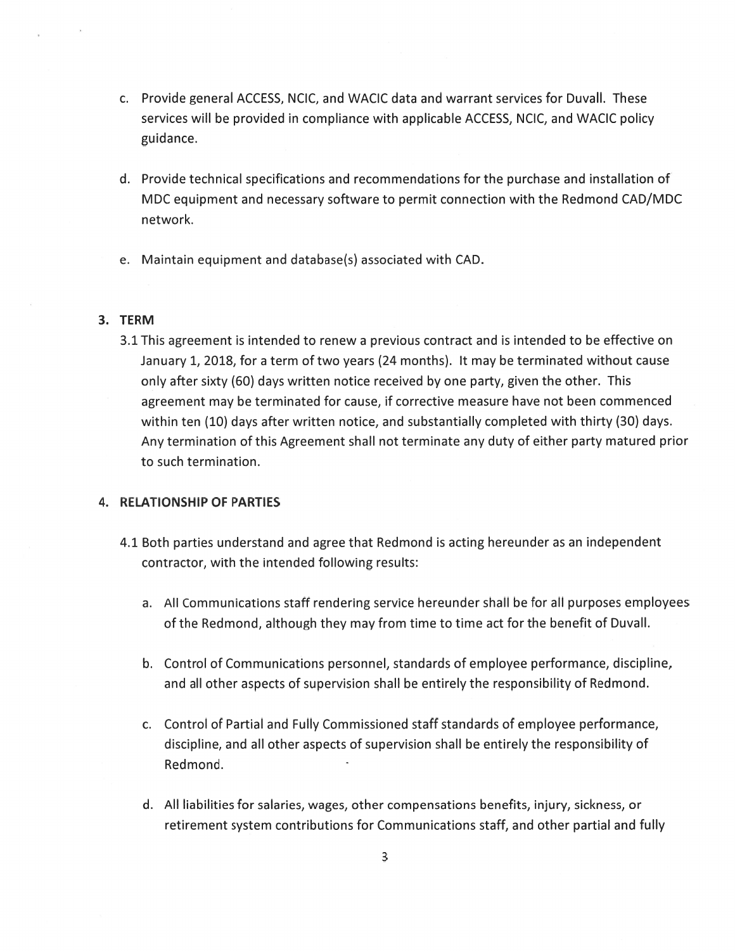- C. Provide general ACCESS, NCIC, and WACIC data and warrant services for Duvall. These services will be provided in compliance with applicable ACCESS, NCIC, and WACIC policy guidance.
- d. Provide technical specifications and recommendations for the purchase and installation of MDC equipment and necessary software to permit connection with the Redmond CAD/MDC network.
- e. Maintain equipment and database(s) associated with CAD.

## 3. TERM

3.1 This agreemen<sup>t</sup> is intended to renew <sup>a</sup> previous contract and is intended to be effective on January 1, 2018, for <sup>a</sup> term oftwo years (24 months). It may be terminated without cause only after sixty (60) days written notice received by one party, given the other. This agreemen<sup>t</sup> may be terminated for cause, if corrective measure have not been commenced within ten (10) days after written notice, and substantially completed with thirty (30) days. Any termination of this Agreement shall not terminate any duty of either party matured prior to such termination.

# 4. RELATIONSHIP OF PARTIES

- 4.1 Both parties understand and agree that Redmond is acting hereunder as an independent contractor, with the intended following results:
	- a. All Communications staff rendering service hereunder shall be for all purposes employees of the Redmond, although they may from time to time act for the benefit of Duvall.
	- b. Control of Communications personnel, standards of employee performance, discipline, and all other aspects of supervision shall be entirely the responsibility of Redmond.
	- c. Control of Partial and Fully Commissioned staff standards of employee performance, discipline, and all other aspects of supervision shall be entirely the responsibility of Redmond.
	- d. All liabilities for salaries, wages, other compensations benefits, injury, sickness, or retirement system contributions for Communications staff, and other partial and fully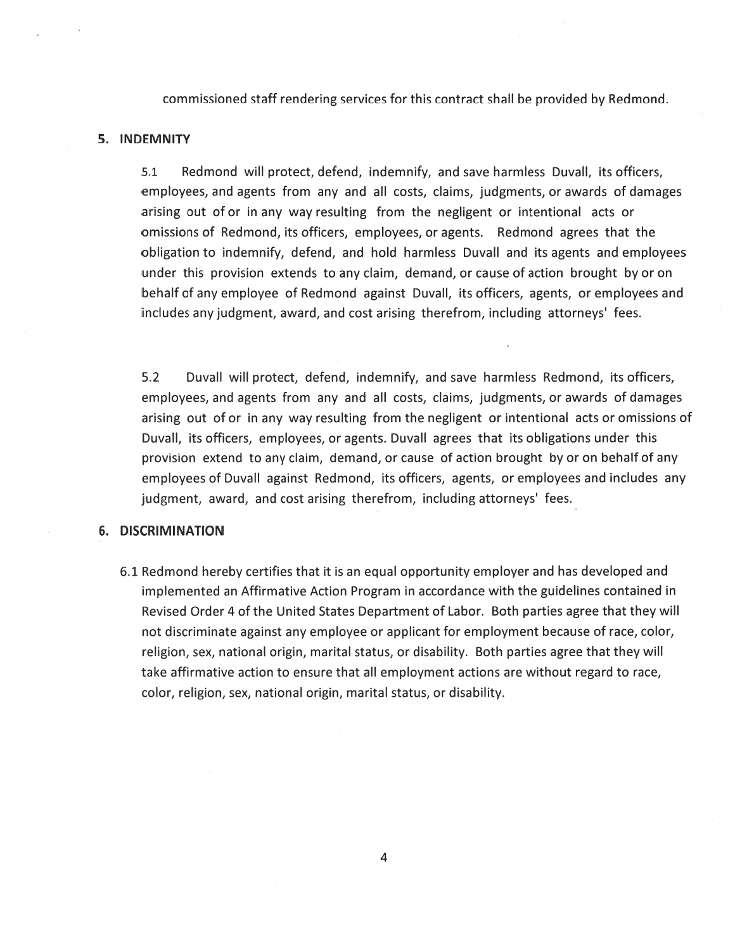commissioned staff rendering services for this contract shall be provided by Redmond.

#### 5. INDEMNITY

5.1 Redmond will protect, defend, indemnify, and save harmless Duvall, its officers, employees, and agents from any and all costs, claims, judgments, or awards of damages arising out ofor in any way resulting from the negligent or intentional acts or omissions of Redmond, its officers, employees, or agents. Redmond agrees that the obligation to indemnify, defend, and hold harmless Duvall and its agents and employees under this provision extends to any claim, demand, or cause of action brought by or on behalf of any employee of Redmond against Duvall, its officers, agents, or employees and includes anyjudgment, award, and cost arising therefrom, including attorneys' fees.

5.2 Duvall will protect, defend, indemnify, and save harmless Redmond, its officers, employees, and agents from any and all costs, claims, judgments, or awards of damages arising out of or in any way resulting from the negligent or intentional acts or omissions of Duvall, its officers, employees, or agents. Duvall agrees that its obligations under this provision extend to any claim, demand, or cause of action brought by or on behalf of any employees of Duvall against Redmond, its officers, agents, or employees and includes any judgment, award, and cost arising therefrom, including attorneys' fees.

#### 6. DISCRIMINATION

6.1 Redmond hereby certifies that it is an equal opportunity employer and has developed and implemented an Affirmative Action Program in accordance with the guidelines contained in Revised Order 4 of the United States Department of Labor. Both parties agree that they will not discriminate against any employee or applicant for employment because of race, color, religion, sex, national origin, marital status, or disability. Both parties agree that they will take affirmative action to ensure that all employment actions are without regard to race, color, religion, sex, national origin, marital status, or disability.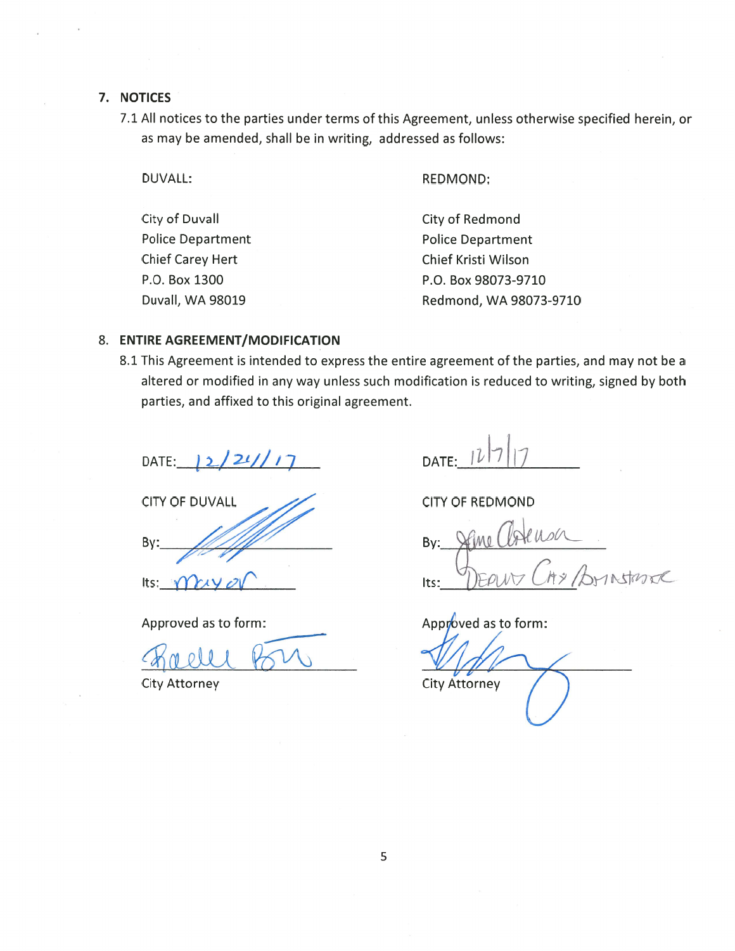## 7. NOTICES

7.1 All notices to the parties under terms of this Agreement, unless otherwise specified herein, or as may be amended, shall be in writing, addressed as follows:

DUVALL: REDMOND: City of Duvall Police Department Chief Carey Hert P.O. Box 1300 Duvall, WA 98019 City of Redmond Police Department Chief Kristi Wilson P.O. Box 98073-9710 Redmond, WA 98073-9710

## 8. ENTIRE AGREEMENT/MODIFICATION

8.1 This Agreement is intended to express the entire agreement of the parties, and may not be a altered or modified in any way unless such modification is reduced to writing, signed by both parties, and affixed to this original agreement.

DATE:  $|2/21/17$  DATE:  $|l|$ 

By: Its:  $\eta$ // $\gamma$ CITY OF DUVALL

Approved as to form:

marill

CITY OF REDMOND

By: Stine Clote Its: DEANT CAY Ar

Approved as to form:

City Attorney **City Attorney**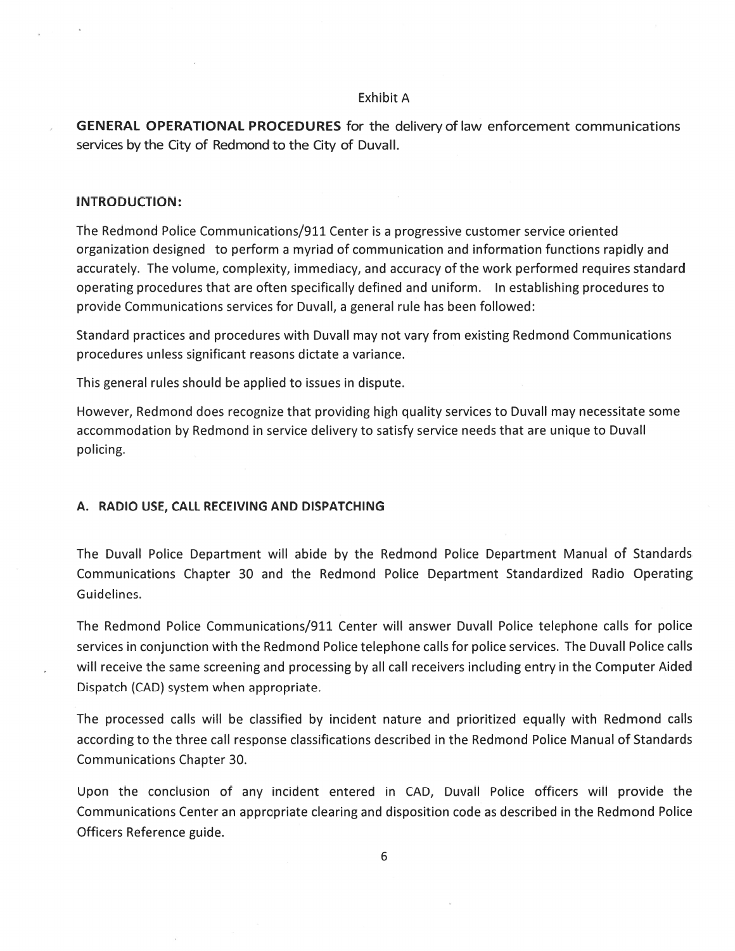#### Exhibit A

GENERAL OPERATIONAL PROCEDURES for the deliveryoflaw enforcement communications services by the City of Redmond to the City of DuvaIl.

### INTRODUCTION:

The Redmond Police Communications/911 Center is <sup>a</sup> progressive customer service oriented organization designed to perform <sup>a</sup> myriad of communication and information functions rapidly and accurately. The volume, complexity, immediacy, and accuracy of the work performed requires standard operating procedures that are often specifically defined and uniform. In establishing procedures to provide Communications services for Duvall, <sup>a</sup> general rule has been followed:

Standard practices and procedures with Duvall may not vary from existing Redmond Communications procedures unless significant reasons dictate <sup>a</sup> variance.

This general rules should be applied to issues in dispute.

However, Redmond does recognize that providing high quality services to Duvall may necessitate some accommodation by Redmond in service delivery to satisfy service needs that are unique to Duvall policing.

### A. RADIO USE, CALL RECEIVING AND DISPATCHING

The Duvall Police Department will abide by the Redmond Police Department Manual of Standards Communications Chapter 30 and the Redmond Police Department Standardized Radio Operating Guidelines.

The Redmond Police Communications/911 Center will answer Duvall Police telephone calls for police services in conjunction with the Redmond Police telephone calls for police services. The Duvall Police calls will receive the same screening and processing by all call receivers including entry in the Computer Aided Dispatch (CAD) system when appropriate.

The processed calls will be classified by incident nature and prioritized equally with Redmond calls according to the three call response classifications described in the Redmond Police Manual of Standards Communications Chapter 30.

Upon the conclusion of any incident entered in CAD, Duvall Police officers will provide the Communications Center an appropriate clearing and disposition code as described in the Redmond Police Officers Reference guide.

6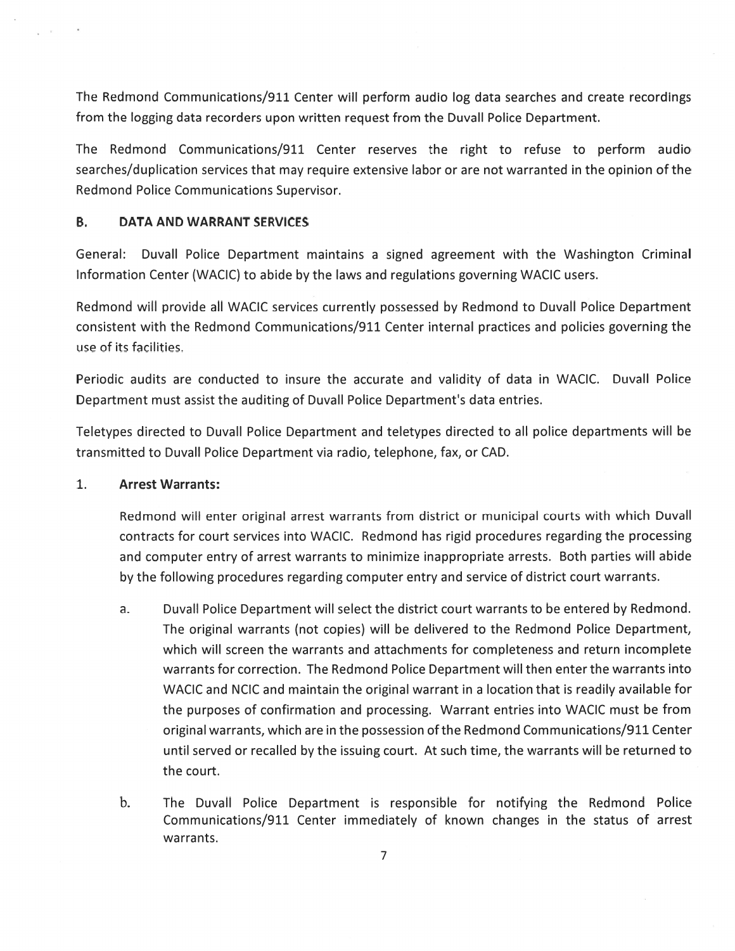The Redmond Communications/911 Center will perform audio log data searches and create recordings from the logging data recorders upon written reques<sup>t</sup> from the Duvall Police Department.

The Redmond Communications/911 Center reserves the right to refuse to perform audio searches/duplication services that may require extensive labor or are not warranted in the opinion of the Redmond Police Communications Supervisor.

## B. DATA AND WARRANT SERVICES

General: Duvall Police Department maintains <sup>a</sup> signed agreemen<sup>t</sup> with the Washington Criminal Information Center (WACIC) to abide by the laws and regulations governing WACIC users.

Redmond will provide all WACIC services currently possessed by Redmond to Duvall Police Department consistent with the Redmond Communications/911 Center internal practices and policies governing the use of its facilities.

Periodic audits are conducted to insure the accurate and validity of data in WACIC. Duvall Police Department must assist the auditing of Duvall Police Department's data entries.

Teletypes directed to Duvall Police Department and teletypes directed to all police departments will be transmitted to Duvall Police Department via radio, telephone, fax, or CAD.

# 1. Arrest Warrants:

Redmond will enter original arrest warrants from district or municipal courts with which Duvall contracts for court services into WACIC. Redmond has rigid procedures regarding the processing and computer entry of arrest warrants to minimize inappropriate arrests. Both parties will abide by the following procedures regarding computer entry and service of district court warrants.

- a. Duvall Police Department will select the district court warrants to be entered by Redmond. The original warrants (not copies) will be delivered to the Redmond Police Department, which will screen the warrants and attachments for completeness and return incomplete warrants for correction. The Redmond Police Department will then enter the warrants into WACIC and NCIC and maintain the original warrant in <sup>a</sup> location that is readily available for the purposes of confirmation and processing. Warrant entries into WACIC must be from original warrants, which are in the possession ofthe Redmond Communications/911 Center until served or recalled by the issuing court. At such time, the warrants will be returned to the court.
- b. The Duvall Police Department is responsible for notifying the Redmond Police Communications/911 Center immediately of known changes in the status of arrest warrants.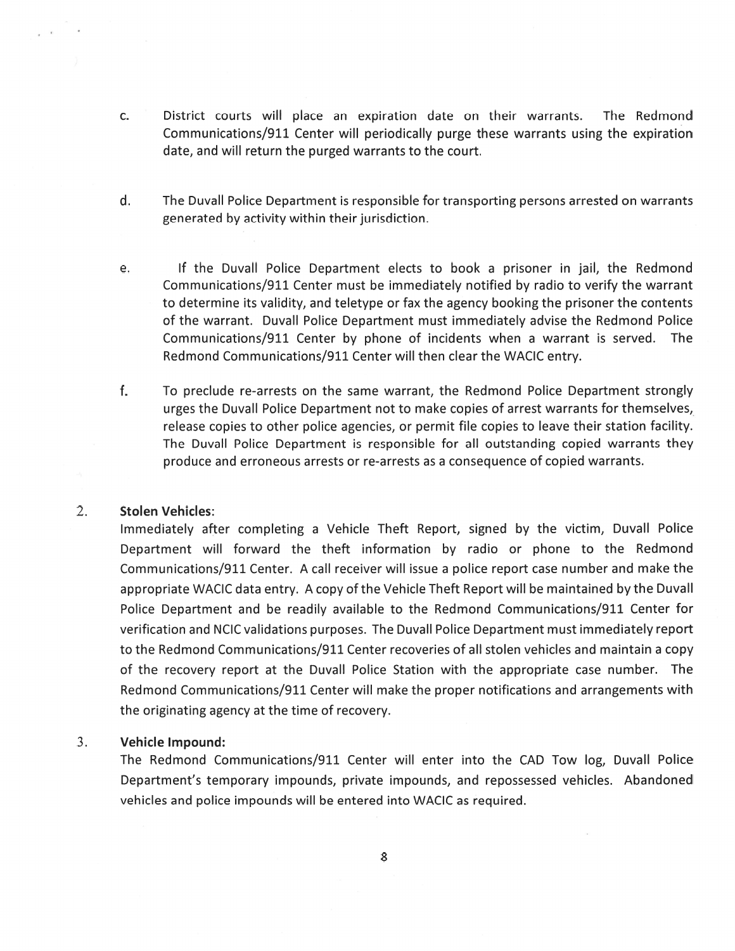- C. District courts will place an expiration date on their warrants. The Redmond Communications/911 Center will periodically purge these warrants using the expiration date, and will return the purged warrants to the court.
- d. The Duvall Police Department is responsible for transporting persons arrested on warrants generated by activity within their jurisdiction.
- e. If the Duvall Police Department elects to book <sup>a</sup> prisoner in jail, the Redmond Communications/911 Center must be immediately notified by radio to verify the warrant to determine its validity, and teletype or fax the agency booking the prisoner the contents of the warrant. Duvall Police Department must immediately advise the Redmond Police Communications/911 Center by phone of incidents when <sup>a</sup> warrant is served. The Redmond Communications/911 Center will then clear the WACIC entry.
- f. To preclude re-arrests on the same warrant, the Redmond Police Department strongly urges the Duvall Police Department not to make copies of arrest warrants for themselves, release copies to other police agencies, or permit file copies to leave their station facility. The Duvall Police Department is responsible for all outstanding copied warrants they produce and erroneous arrests or re-arrests as <sup>a</sup> consequence of copied warrants.

### 2. Stolen Vehicles:

Immediately after completing <sup>a</sup> Vehicle Theft Report, signed by the victim, Duvall Police Department will forward the theft information by radio or phone to the Redmond Communications/911 Center. A call receiver will issue <sup>a</sup> police repor<sup>t</sup> case number and make the appropriate WACIC data entry. A copy of the Vehicle Theft Report will be maintained by the Duvall Police Department and be readily available to the Redmond Communications/911 Center for verification and NCIC validations purposes. The Duvall Police Department must immediately repor<sup>t</sup> to the Redmond Communications/911 Center recoveries of all stolen vehicles and maintain <sup>a</sup> copy of the recovery repor<sup>t</sup> at the Duvall Police Station with the appropriate case number. The Redmond Communications/911 Center will make the proper notifications and arrangements with the originating agency at the time of recovery.

#### 3. Vehicle Impound:

The Redmond Communications/911 Center will enter into the CAD Tow log, Duvall Police Department's temporary impounds, private impounds, and repossessed vehicles. Abandoned vehicles and police impounds will be entered into WACIC as required.